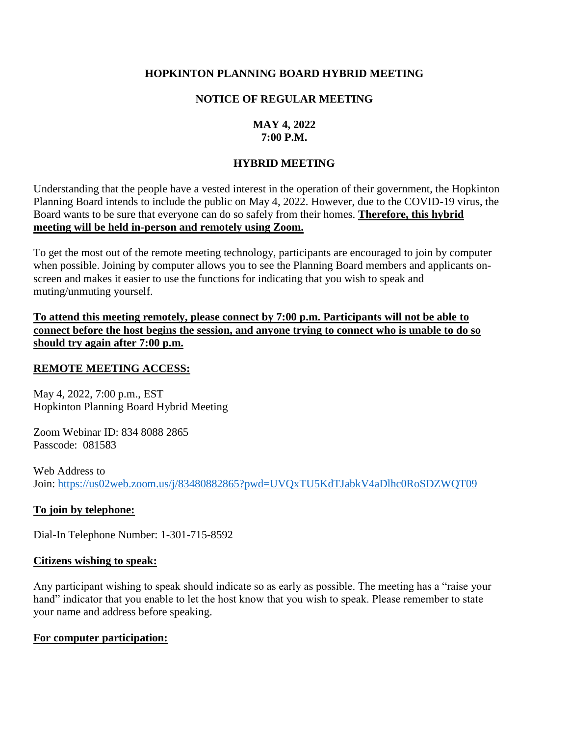# **HOPKINTON PLANNING BOARD HYBRID MEETING**

## **NOTICE OF REGULAR MEETING**

## **MAY 4, 2022 7:00 P.M.**

# **HYBRID MEETING**

Understanding that the people have a vested interest in the operation of their government, the Hopkinton Planning Board intends to include the public on May 4, 2022. However, due to the COVID-19 virus, the Board wants to be sure that everyone can do so safely from their homes. **Therefore, this hybrid meeting will be held in-person and remotely using Zoom.**

To get the most out of the remote meeting technology, participants are encouraged to join by computer when possible. Joining by computer allows you to see the Planning Board members and applicants onscreen and makes it easier to use the functions for indicating that you wish to speak and muting/unmuting yourself.

**To attend this meeting remotely, please connect by 7:00 p.m. Participants will not be able to connect before the host begins the session, and anyone trying to connect who is unable to do so should try again after 7:00 p.m.** 

### **REMOTE MEETING ACCESS:**

May 4, 2022, 7:00 p.m., EST Hopkinton Planning Board Hybrid Meeting

Zoom Webinar ID: 834 8088 2865 Passcode: 081583

Web Address to Join: <https://us02web.zoom.us/j/83480882865?pwd=UVQxTU5KdTJabkV4aDlhc0RoSDZWQT09>

### **To join by telephone:**

Dial-In Telephone Number: 1-301-715-8592

### **Citizens wishing to speak:**

Any participant wishing to speak should indicate so as early as possible. The meeting has a "raise your hand" indicator that you enable to let the host know that you wish to speak. Please remember to state your name and address before speaking.

### **For computer participation:**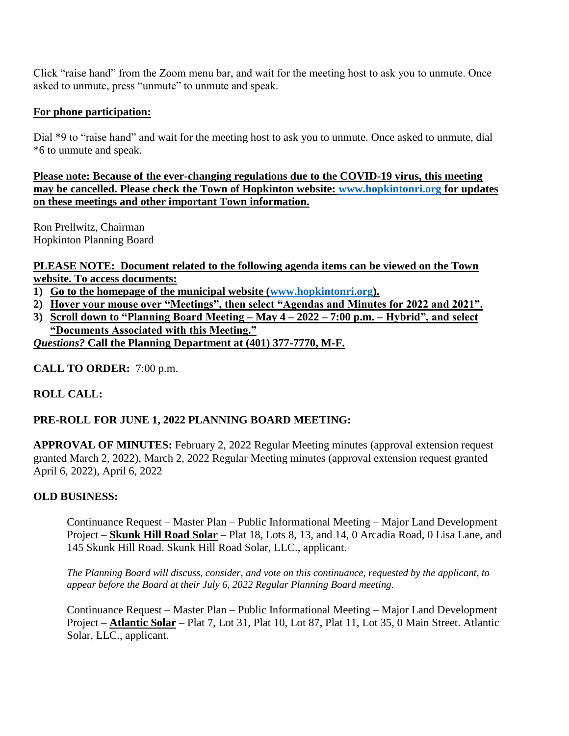Click "raise hand" from the Zoom menu bar, and wait for the meeting host to ask you to unmute. Once asked to unmute, press "unmute" to unmute and speak.

# **For phone participation:**

Dial \*9 to "raise hand" and wait for the meeting host to ask you to unmute. Once asked to unmute, dial \*6 to unmute and speak.

**Please note: Because of the ever-changing regulations due to the COVID-19 virus, this meeting may be cancelled. Please check the Town of Hopkinton website: [www.hopkintonri.org](http://www.hopkintonri.org/) for updates on these meetings and other important Town information.** 

Ron Prellwitz, Chairman Hopkinton Planning Board

**PLEASE NOTE: Document related to the following agenda items can be viewed on the Town website. To access documents:** 

- **1) Go to the homepage of the municipal website [\(www.hopkintonri.org\)](http://www.hopkintonri.org/).**
- **2) Hover your mouse over "Meetings", then select "Agendas and Minutes for 2022 and 2021".**
- **3) Scroll down to "Planning Board Meeting – May 4 – 2022 – 7:00 p.m. – Hybrid", and select "Documents Associated with this Meeting."** *Questions?* **Call the Planning Department at (401) 377-7770, M-F.**

**CALL TO ORDER:** 7:00 p.m.

# **ROLL CALL:**

# **PRE-ROLL FOR JUNE 1, 2022 PLANNING BOARD MEETING:**

**APPROVAL OF MINUTES:** February 2, 2022 Regular Meeting minutes (approval extension request granted March 2, 2022), March 2, 2022 Regular Meeting minutes (approval extension request granted April 6, 2022), April 6, 2022

# **OLD BUSINESS:**

Continuance Request – Master Plan – Public Informational Meeting – Major Land Development Project – **Skunk Hill Road Solar** – Plat 18, Lots 8, 13, and 14, 0 Arcadia Road, 0 Lisa Lane, and 145 Skunk Hill Road. Skunk Hill Road Solar, LLC., applicant.

*The Planning Board will discuss, consider, and vote on this continuance, requested by the applicant, to appear before the Board at their July 6, 2022 Regular Planning Board meeting.*

Continuance Request – Master Plan – Public Informational Meeting – Major Land Development Project – **Atlantic Solar** – Plat 7, Lot 31, Plat 10, Lot 87, Plat 11, Lot 35, 0 Main Street. Atlantic Solar, LLC., applicant.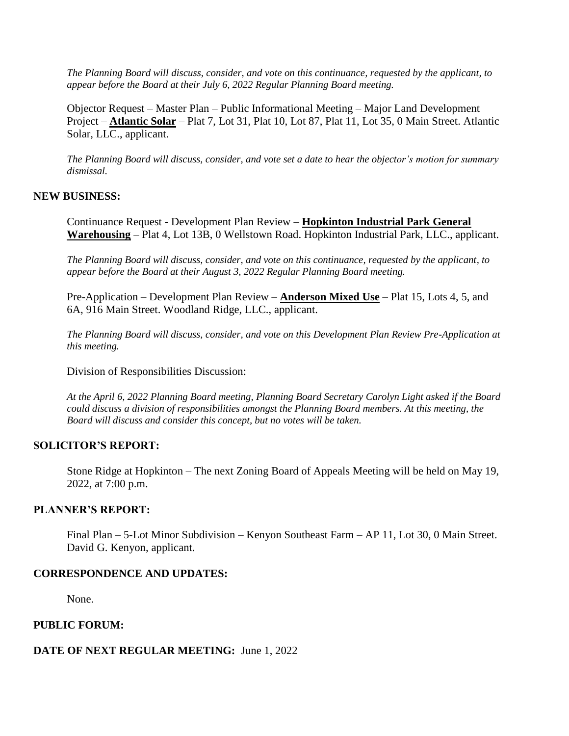*The Planning Board will discuss, consider, and vote on this continuance, requested by the applicant, to appear before the Board at their July 6, 2022 Regular Planning Board meeting.* 

Objector Request – Master Plan – Public Informational Meeting – Major Land Development Project – **Atlantic Solar** – Plat 7, Lot 31, Plat 10, Lot 87, Plat 11, Lot 35, 0 Main Street. Atlantic Solar, LLC., applicant.

*The Planning Board will discuss, consider, and vote set a date to hear the objector's motion for summary dismissal.* 

### **NEW BUSINESS:**

Continuance Request - Development Plan Review – **Hopkinton Industrial Park General Warehousing** – Plat 4, Lot 13B, 0 Wellstown Road. Hopkinton Industrial Park, LLC., applicant.

*The Planning Board will discuss, consider, and vote on this continuance, requested by the applicant, to appear before the Board at their August 3, 2022 Regular Planning Board meeting.* 

Pre-Application – Development Plan Review – **Anderson Mixed Use** – Plat 15, Lots 4, 5, and 6A, 916 Main Street. Woodland Ridge, LLC., applicant.

*The Planning Board will discuss, consider, and vote on this Development Plan Review Pre-Application at this meeting.* 

Division of Responsibilities Discussion:

*At the April 6, 2022 Planning Board meeting, Planning Board Secretary Carolyn Light asked if the Board could discuss a division of responsibilities amongst the Planning Board members. At this meeting, the Board will discuss and consider this concept, but no votes will be taken.* 

### **SOLICITOR'S REPORT:**

Stone Ridge at Hopkinton – The next Zoning Board of Appeals Meeting will be held on May 19, 2022, at 7:00 p.m.

### **PLANNER'S REPORT:**

Final Plan – 5-Lot Minor Subdivision – Kenyon Southeast Farm – AP 11, Lot 30, 0 Main Street. David G. Kenyon, applicant.

### **CORRESPONDENCE AND UPDATES:**

None.

## **PUBLIC FORUM:**

### **DATE OF NEXT REGULAR MEETING:** June 1, 2022